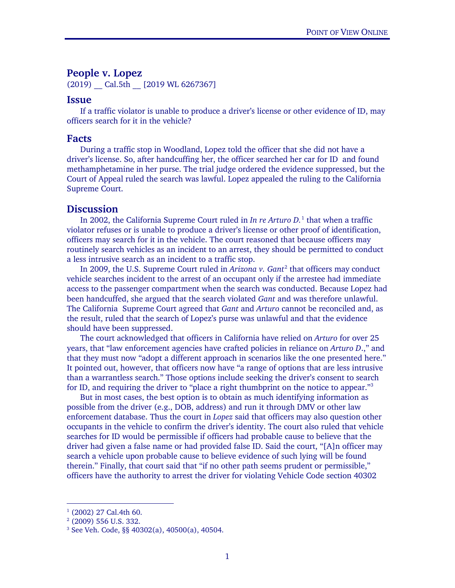## **People v. Lopez**

(2019) Cal.5th [2019 WL 6267367]

## **Issue**

If a traffic violator is unable to produce a driver's license or other evidence of ID, may officers search for it in the vehicle?

## **Facts**

During a traffic stop in Woodland, Lopez told the officer that she did not have a driver's license. So, after handcuffing her, the officer searched her car for ID and found methamphetamine in her purse. The trial judge ordered the evidence suppressed, but the Court of Appeal ruled the search was lawful. Lopez appealed the ruling to the California Supreme Court.

## **Discussion**

In 2002, the California Supreme Court ruled in *In re Arturo D.*[1](#page-0-0) that when a traffic violator refuses or is unable to produce a driver's license or other proof of identification, officers may search for it in the vehicle. The court reasoned that because officers may routinely search vehicles as an incident to an arrest, they should be permitted to conduct a less intrusive search as an incident to a traffic stop.

In [2](#page-0-1)009, the U.S. Supreme Court ruled in *Arizona v. Gant<sup>2</sup>* that officers may conduct vehicle searches incident to the arrest of an occupant only if the arrestee had immediate access to the passenger compartment when the search was conducted. Because Lopez had been handcuffed, she argued that the search violated *Gant* and was therefore unlawful. The California Supreme Court agreed that *Gant* and *Arturo* cannot be reconciled and, as the result, ruled that the search of Lopez's purse was unlawful and that the evidence should have been suppressed.

The court acknowledged that officers in California have relied on *Arturo* for over 25 years, that "law enforcement agencies have crafted policies in reliance on *Arturo D*.," and that they must now "adopt a different approach in scenarios like the one presented here." It pointed out, however, that officers now have "a range of options that are less intrusive than a warrantless search." Those options include seeking the driver's consent to search for ID, and requiring the driver to "place a right thumbprint on the notice to appear."<sup>[3](#page-0-2)</sup>

But in most cases, the best option is to obtain as much identifying information as possible from the driver (e.g., DOB, address) and run it through DMV or other law enforcement database. Thus the court in *Lopez* said that officers may also question other occupants in the vehicle to confirm the driver's identity. The court also ruled that vehicle searches for ID would be permissible if officers had probable cause to believe that the driver had given a false name or had provided false ID. Said the court, "[A]n officer may search a vehicle upon probable cause to believe evidence of such lying will be found therein." Finally, that court said that "if no other path seems prudent or permissible," officers have the authority to arrest the driver for violating Vehicle Code section 40302

<span id="page-0-0"></span> $1$  (2002) 27 Cal.4th 60.

<span id="page-0-1"></span><sup>2</sup> (2009) 556 U.S. 332.

<span id="page-0-2"></span><sup>3</sup> See Veh. Code, §§ 40302(a), 40500(a), 40504.